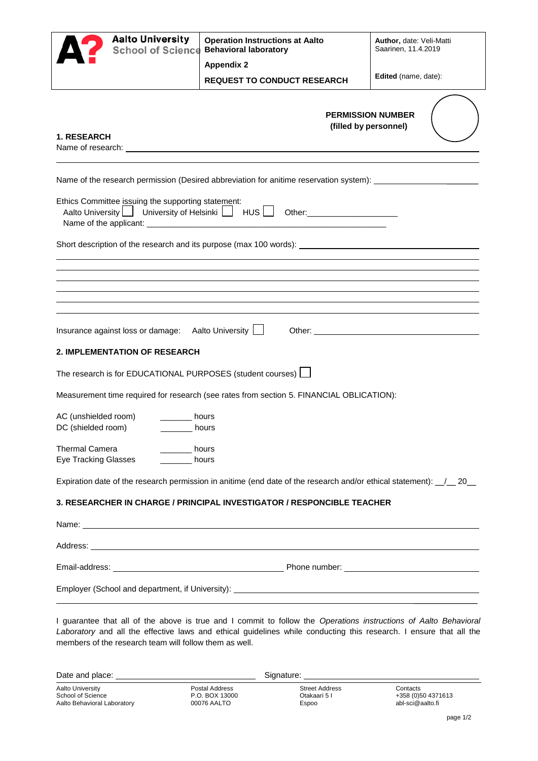|                                                                             | <b>Aalto University</b><br>School of Science Behavioral laboratory                          |                                                 | <b>Operation Instructions at Aalto</b>                                                                                                                                                                                         | Author, date: Veli-Matti<br>Saarinen, 11.4.2019                                                                                                                                                                                        |  |
|-----------------------------------------------------------------------------|---------------------------------------------------------------------------------------------|-------------------------------------------------|--------------------------------------------------------------------------------------------------------------------------------------------------------------------------------------------------------------------------------|----------------------------------------------------------------------------------------------------------------------------------------------------------------------------------------------------------------------------------------|--|
|                                                                             |                                                                                             | <b>Appendix 2</b>                               |                                                                                                                                                                                                                                |                                                                                                                                                                                                                                        |  |
|                                                                             |                                                                                             |                                                 | <b>REQUEST TO CONDUCT RESEARCH</b>                                                                                                                                                                                             | Edited (name, date):                                                                                                                                                                                                                   |  |
| <b>1. RESEARCH</b>                                                          |                                                                                             |                                                 | <b>PERMISSION NUMBER</b><br>(filled by personnel)                                                                                                                                                                              |                                                                                                                                                                                                                                        |  |
|                                                                             |                                                                                             |                                                 |                                                                                                                                                                                                                                | Name of the research permission (Desired abbreviation for anitime reservation system): ______________________                                                                                                                          |  |
|                                                                             | Ethics Committee issuing the supporting statement:                                          |                                                 | Aalto University   University of Helsinki   HUS   Other: _______________________                                                                                                                                               |                                                                                                                                                                                                                                        |  |
|                                                                             |                                                                                             |                                                 |                                                                                                                                                                                                                                |                                                                                                                                                                                                                                        |  |
|                                                                             |                                                                                             |                                                 |                                                                                                                                                                                                                                |                                                                                                                                                                                                                                        |  |
|                                                                             |                                                                                             |                                                 |                                                                                                                                                                                                                                |                                                                                                                                                                                                                                        |  |
|                                                                             | Insurance against loss or damage: Aalto University                                          |                                                 |                                                                                                                                                                                                                                |                                                                                                                                                                                                                                        |  |
|                                                                             | <b>2. IMPLEMENTATION OF RESEARCH</b>                                                        |                                                 |                                                                                                                                                                                                                                |                                                                                                                                                                                                                                        |  |
|                                                                             | The research is for EDUCATIONAL PURPOSES (student courses) [                                |                                                 |                                                                                                                                                                                                                                |                                                                                                                                                                                                                                        |  |
|                                                                             |                                                                                             |                                                 | Measurement time required for research (see rates from section 5. FINANCIAL OBLICATION):                                                                                                                                       |                                                                                                                                                                                                                                        |  |
| AC (unshielded room)<br>DC (shielded room)                                  | <b>bours</b>                                                                                | hours                                           |                                                                                                                                                                                                                                |                                                                                                                                                                                                                                        |  |
|                                                                             | <b>Thermal Camera</b><br>$\frac{1}{2}$ hours<br><b>Eye Tracking Glasses</b><br><b>bours</b> |                                                 |                                                                                                                                                                                                                                |                                                                                                                                                                                                                                        |  |
|                                                                             |                                                                                             |                                                 | Expiration date of the research permission in anitime (end date of the research and/or ethical statement): 120                                                                                                                 |                                                                                                                                                                                                                                        |  |
|                                                                             |                                                                                             |                                                 | 3. RESEARCHER IN CHARGE / PRINCIPAL INVESTIGATOR / RESPONCIBLE TEACHER                                                                                                                                                         |                                                                                                                                                                                                                                        |  |
|                                                                             |                                                                                             |                                                 |                                                                                                                                                                                                                                |                                                                                                                                                                                                                                        |  |
|                                                                             |                                                                                             |                                                 |                                                                                                                                                                                                                                |                                                                                                                                                                                                                                        |  |
|                                                                             |                                                                                             |                                                 |                                                                                                                                                                                                                                |                                                                                                                                                                                                                                        |  |
|                                                                             |                                                                                             |                                                 |                                                                                                                                                                                                                                |                                                                                                                                                                                                                                        |  |
|                                                                             | members of the research team will follow them as well.                                      |                                                 |                                                                                                                                                                                                                                | I guarantee that all of the above is true and I commit to follow the Operations instructions of Aalto Behavioral<br>Laboratory and all the effective laws and ethical guidelines while conducting this research. I ensure that all the |  |
|                                                                             |                                                                                             |                                                 | Signature: explorer and the state of the state of the state of the state of the state of the state of the state of the state of the state of the state of the state of the state of the state of the state of the state of the |                                                                                                                                                                                                                                        |  |
| <b>Aalto University</b><br>School of Science<br>Aalto Behavioral Laboratory |                                                                                             | Postal Address<br>P.O. BOX 13000<br>00076 AALTO | <b>Street Address</b><br>Otakaari 5 I<br>Espoo                                                                                                                                                                                 | Contacts<br>+358 (0)50 4371613<br>abl-sci@aalto.fi                                                                                                                                                                                     |  |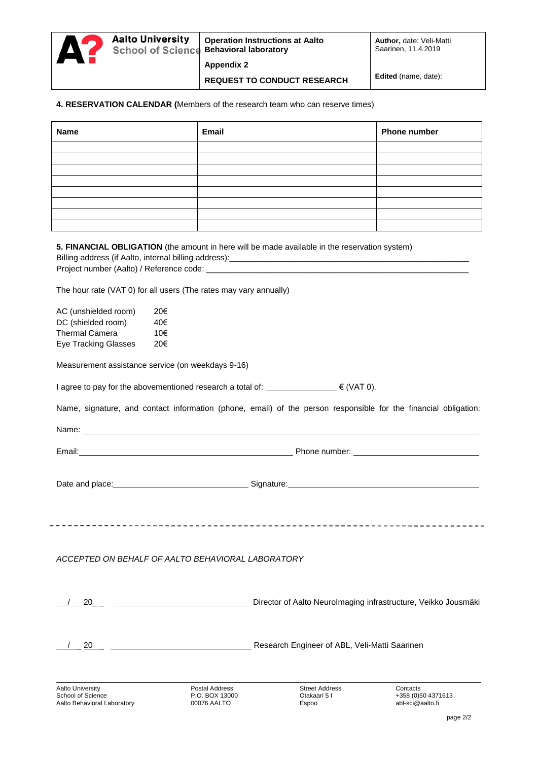**Aalto University** 

**REQUEST TO CONDUCT RESEARCH Edited (name, date):** 

#### **4. RESERVATION CALENDAR (**Members of the research team who can reserve times)

| <b>Name</b> | Email | <b>Phone number</b> |
|-------------|-------|---------------------|
|             |       |                     |
|             |       |                     |
|             |       |                     |
|             |       |                     |
|             |       |                     |
|             |       |                     |
|             |       |                     |
|             |       |                     |

|                                                                                                                                                                                                                                      |                                                                   | 5. FINANCIAL OBLIGATION (the amount in here will be made available in the reservation system)<br>Billing address (if Aalto, internal billing address): __________________________                                                   |                                                    |
|--------------------------------------------------------------------------------------------------------------------------------------------------------------------------------------------------------------------------------------|-------------------------------------------------------------------|-------------------------------------------------------------------------------------------------------------------------------------------------------------------------------------------------------------------------------------|----------------------------------------------------|
|                                                                                                                                                                                                                                      |                                                                   |                                                                                                                                                                                                                                     |                                                    |
|                                                                                                                                                                                                                                      | The hour rate (VAT 0) for all users (The rates may vary annually) |                                                                                                                                                                                                                                     |                                                    |
| AC (unshielded room)<br>DC (shielded room)<br><b>Thermal Camera</b><br><b>Eye Tracking Glasses</b>                                                                                                                                   | 20€<br>40€<br>10€<br>20€                                          |                                                                                                                                                                                                                                     |                                                    |
|                                                                                                                                                                                                                                      | Measurement assistance service (on weekdays 9-16)                 |                                                                                                                                                                                                                                     |                                                    |
|                                                                                                                                                                                                                                      |                                                                   | I agree to pay for the abovementioned research a total of: _________________€ (VAT 0).                                                                                                                                              |                                                    |
|                                                                                                                                                                                                                                      |                                                                   | Name, signature, and contact information (phone, email) of the person responsible for the financial obligation                                                                                                                      |                                                    |
|                                                                                                                                                                                                                                      | Name: Name:                                                       |                                                                                                                                                                                                                                     |                                                    |
| Email: <u>Communication of the Communication of the Communication of the Communication of the Communication of the Communication of the Communication of the Communication of the Communication of the Communication of the Comm</u> |                                                                   |                                                                                                                                                                                                                                     |                                                    |
|                                                                                                                                                                                                                                      |                                                                   | Date and place: <u>the second control of the Signature:</u> Signature: Signature: the second control of the second control of the second control of the second control of the second control of the second control of the second co |                                                    |
|                                                                                                                                                                                                                                      | ACCEPTED ON BEHALF OF AALTO BEHAVIORAL LABORATORY                 |                                                                                                                                                                                                                                     |                                                    |
|                                                                                                                                                                                                                                      |                                                                   | 20__ _ _ _ _ _ _ _ _ _ _ _ Director of Aalto Neurolmaging infrastructure, Veikko Jousmäki                                                                                                                                           |                                                    |
|                                                                                                                                                                                                                                      |                                                                   |                                                                                                                                                                                                                                     |                                                    |
| <b>Aalto University</b><br>School of Science<br>Aalto Behavioral Laboratory                                                                                                                                                          | Postal Address<br>P.O. BOX 13000<br>00076 AALTO                   | <b>Street Address</b><br>Otakaari 5 I<br>Espoo                                                                                                                                                                                      | Contacts<br>+358 (0)50 4371613<br>abl-sci@aalto.fi |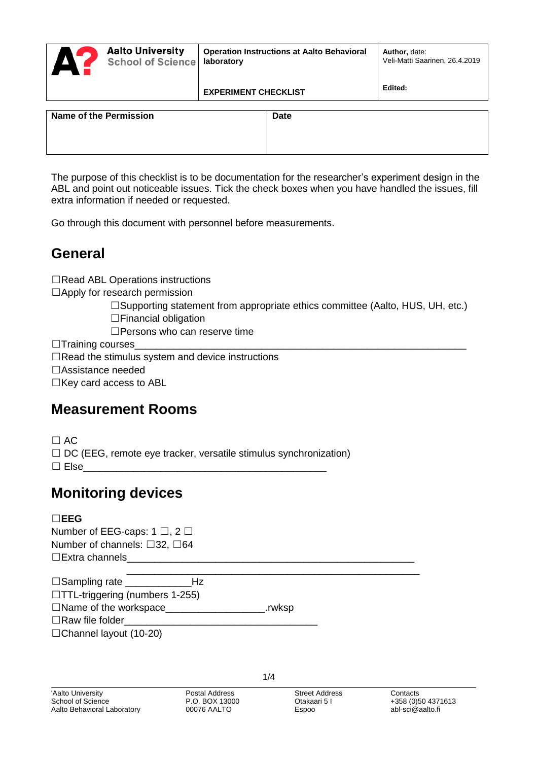|                        | <b>Aalto University</b><br><b>School of Science</b> | <b>Operation Instructions at Aalto Behavioral</b><br>laboratory |             | Author, date:<br>Veli-Matti Saarinen, 26.4.2019 |
|------------------------|-----------------------------------------------------|-----------------------------------------------------------------|-------------|-------------------------------------------------|
|                        |                                                     | <b>EXPERIMENT CHECKLIST</b>                                     |             | Edited:                                         |
| Name of the Permission |                                                     |                                                                 | <b>Date</b> |                                                 |

The purpose of this checklist is to be documentation for the researcher's experiment design in the ABL and point out noticeable issues. Tick the check boxes when you have handled the issues, fill extra information if needed or requested.

Go through this document with personnel before measurements.

### **General**

☐Read ABL Operations instructions

☐Apply for research permission

☐Supporting statement from appropriate ethics committee (Aalto, HUS, UH, etc.)

☐Financial obligation

□Persons who can reserve time

 $\Box$ Training courses

☐Read the stimulus system and device instructions

☐Assistance needed

☐Key card access to ABL

# **Measurement Rooms**

 $\Box$  AC

 $\Box$  DC (EEG, remote eve tracker, versatile stimulus synchronization)

 $\Box$  Else

# **Monitoring devices**

### ☐**EEG**

Number of EEG-caps: 1 □, 2 □ Number of channels: □32, □64  $\square$ Extra channels

| $\Box$ Sampling rate<br>Hz      |        |
|---------------------------------|--------|
| □TTL-triggering (numbers 1-255) |        |
| $\Box$ Name of the workspace___ | .rwksp |
| $\Box$ Raw file folder          |        |
| $\Box$ Chonnol Iovout (10.20)   |        |

☐Channel layout (10-20)

1/4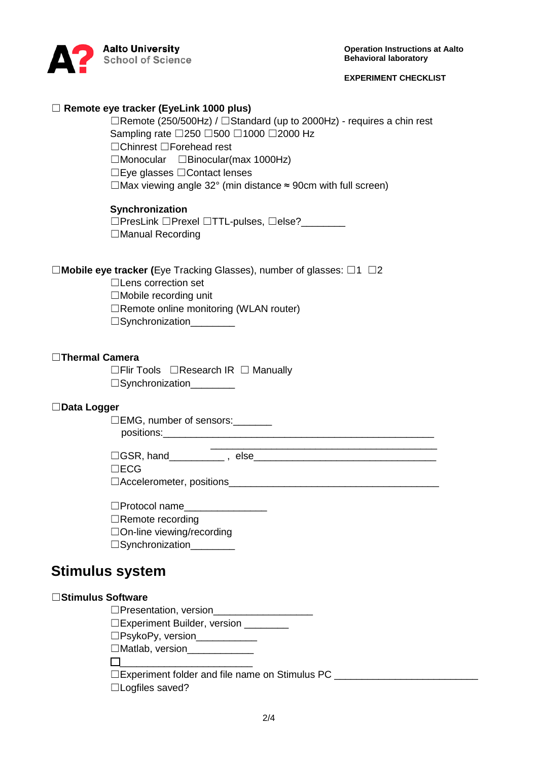

**Operation Instructions at Aalto Behavioral laboratory**

#### **EXPERIMENT CHECKLIST**

#### ☐ **Remote eye tracker (EyeLink 1000 plus)**

☐Remote (250/500Hz) / ☐Standard (up to 2000Hz) - requires a chin rest Sampling rate □250 □500 □1000 □2000 Hz ☐Chinrest ☐Forehead rest

☐Monocular ☐Binocular(max 1000Hz)

☐Eye glasses ☐Contact lenses

 $\Box$ Max viewing angle 32° (min distance  $\approx$  90cm with full screen)

#### **Synchronization**

☐PresLink ☐Prexel ☐TTL-pulses, ☐else?\_\_\_\_\_\_\_\_ ☐Manual Recording

#### ☐**Mobile eye tracker (**Eye Tracking Glasses), number of glasses: ☐1 ☐2

☐Lens correction set

☐Mobile recording unit

☐Remote online monitoring (WLAN router)

 $\Box$ Synchronization

#### ☐**Thermal Camera**

☐Flir Tools ☐Research IR ☐ Manually □Synchronization\_\_\_\_\_\_\_\_

#### ☐**Data Logger**

□EMG, number of sensors: \_\_\_\_\_\_\_

positions:\_\_\_\_\_\_\_\_\_\_\_\_\_\_\_\_\_\_\_\_\_\_\_\_\_\_\_\_\_\_\_\_\_\_\_\_\_\_\_\_\_\_\_\_\_\_\_\_\_

 $\Box$ GSR, hand  $\Box$  , else

☐ECG

□Accelerometer, positions

 $\Box$ Protocol name

☐Remote recording

☐On-line viewing/recording

□Synchronization\_\_\_\_\_\_\_\_\_

### **Stimulus system**

#### ☐**Stimulus Software**

 $\Box$ Presentation, version

☐Experiment Builder, version \_\_\_\_\_\_\_\_

□PsykoPy, version\_\_\_\_\_\_\_\_\_\_\_\_

□Matlab, version

 $\Box$ 

□Experiment folder and file name on Stimulus PC **LEXPERIMENT** 

☐Logfiles saved?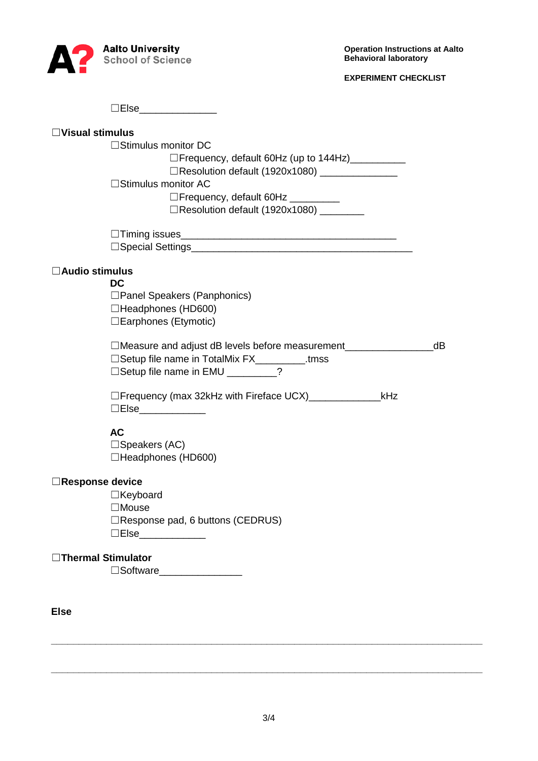

**EXPERIMENT CHECKLIST**

|                          | ∃Else_______________                                            |    |
|--------------------------|-----------------------------------------------------------------|----|
| $\Box$ Visual stimulus   |                                                                 |    |
|                          | $\Box$ Stimulus monitor DC                                      |    |
|                          | □Frequency, default 60Hz (up to 144Hz)                          |    |
|                          | □Resolution default (1920x1080) _______________                 |    |
|                          | $\Box$ Stimulus monitor AC                                      |    |
|                          | □Frequency, default 60Hz _________                              |    |
|                          | □Resolution default (1920x1080) ________                        |    |
|                          |                                                                 |    |
|                          |                                                                 |    |
| $\square$ Audio stimulus |                                                                 |    |
|                          | DC.                                                             |    |
|                          | □ Panel Speakers (Panphonics)                                   |    |
|                          | □Headphones (HD600)                                             |    |
|                          | □ Earphones (Etymotic)                                          |    |
|                          | □Measure and adjust dB levels before measurement                | dB |
|                          | □Setup file name in TotalMix FX___________.tmss                 |    |
|                          | □ Setup file name in EMU ________?                              |    |
|                          | □Frequency (max 32kHz with Fireface UCX) _______________<br>kHz |    |
|                          | □Else_____________                                              |    |
|                          | <b>AC</b>                                                       |    |
|                          | $\Box$ Speakers (AC)                                            |    |
|                          | □Headphones (HD600)                                             |    |
| $\Box$ Response device   |                                                                 |    |
|                          | ∃Keyboard                                                       |    |
|                          | $\Box$ Mouse                                                    |    |
|                          | □Response pad, 6 buttons (CEDRUS)                               |    |
|                          | □Else____________                                               |    |
| □Thermal Stimulator      |                                                                 |    |
|                          | □Software__________________                                     |    |
|                          |                                                                 |    |
| <b>Else</b>              |                                                                 |    |

3/4

**\_\_\_\_\_\_\_\_\_\_\_\_\_\_\_\_\_\_\_\_\_\_\_\_\_\_\_\_\_\_\_\_\_\_\_\_\_\_\_\_\_\_\_\_\_\_\_\_\_\_\_\_\_\_\_\_\_\_\_\_\_\_\_\_\_\_\_\_\_\_\_\_\_\_\_\_\_\_**

**\_\_\_\_\_\_\_\_\_\_\_\_\_\_\_\_\_\_\_\_\_\_\_\_\_\_\_\_\_\_\_\_\_\_\_\_\_\_\_\_\_\_\_\_\_\_\_\_\_\_\_\_\_\_\_\_\_\_\_\_\_\_\_\_\_\_\_\_\_\_\_\_\_\_\_\_\_\_**